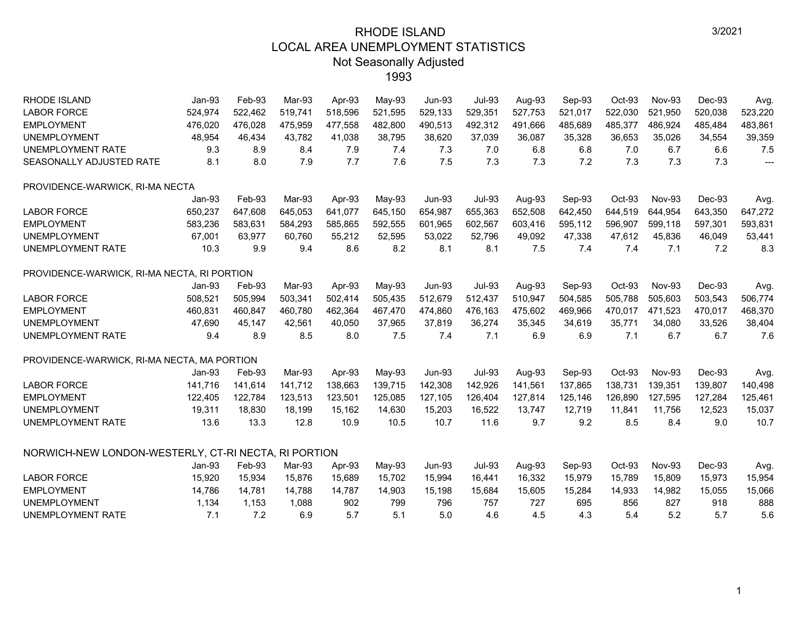| <b>RHODE ISLAND</b>                                  | $Jan-93$ | Feb-93  | Mar-93  | Apr-93  | May-93  | <b>Jun-93</b> | <b>Jul-93</b> | Aug-93  | Sep-93  | Oct-93  | <b>Nov-93</b> | Dec-93  | Avg.                     |
|------------------------------------------------------|----------|---------|---------|---------|---------|---------------|---------------|---------|---------|---------|---------------|---------|--------------------------|
| <b>LABOR FORCE</b>                                   | 524,974  | 522,462 | 519,741 | 518,596 | 521,595 | 529,133       | 529,351       | 527,753 | 521,017 | 522,030 | 521,950       | 520,038 | 523,220                  |
| <b>EMPLOYMENT</b>                                    | 476,020  | 476,028 | 475,959 | 477,558 | 482,800 | 490,513       | 492,312       | 491,666 | 485,689 | 485,377 | 486,924       | 485,484 | 483,861                  |
| <b>UNEMPLOYMENT</b>                                  | 48,954   | 46,434  | 43,782  | 41,038  | 38,795  | 38,620        | 37,039        | 36,087  | 35,328  | 36,653  | 35,026        | 34,554  | 39,359                   |
| <b>UNEMPLOYMENT RATE</b>                             | 9.3      | 8.9     | 8.4     | 7.9     | 7.4     | 7.3           | 7.0           | 6.8     | 6.8     | 7.0     | 6.7           | 6.6     | 7.5                      |
| SEASONALLY ADJUSTED RATE                             | 8.1      | 8.0     | 7.9     | 7.7     | 7.6     | 7.5           | 7.3           | 7.3     | 7.2     | 7.3     | 7.3           | 7.3     | $\overline{\phantom{a}}$ |
| PROVIDENCE-WARWICK, RI-MA NECTA                      |          |         |         |         |         |               |               |         |         |         |               |         |                          |
|                                                      | Jan-93   | Feb-93  | Mar-93  | Apr-93  | May-93  | <b>Jun-93</b> | <b>Jul-93</b> | Aug-93  | Sep-93  | Oct-93  | <b>Nov-93</b> | Dec-93  | Avg.                     |
| <b>LABOR FORCE</b>                                   | 650,237  | 647,608 | 645,053 | 641,077 | 645,150 | 654,987       | 655,363       | 652,508 | 642,450 | 644,519 | 644,954       | 643,350 | 647,272                  |
| <b>EMPLOYMENT</b>                                    | 583,236  | 583,631 | 584,293 | 585,865 | 592,555 | 601,965       | 602,567       | 603,416 | 595,112 | 596,907 | 599,118       | 597,301 | 593,831                  |
| <b>UNEMPLOYMENT</b>                                  | 67,001   | 63,977  | 60,760  | 55,212  | 52,595  | 53,022        | 52,796        | 49,092  | 47,338  | 47,612  | 45,836        | 46,049  | 53,441                   |
| <b>UNEMPLOYMENT RATE</b>                             | 10.3     | 9.9     | 9.4     | 8.6     | 8.2     | 8.1           | 8.1           | 7.5     | 7.4     | 7.4     | 7.1           | 7.2     | 8.3                      |
| PROVIDENCE-WARWICK, RI-MA NECTA, RI PORTION          |          |         |         |         |         |               |               |         |         |         |               |         |                          |
|                                                      | $Jan-93$ | Feb-93  | Mar-93  | Apr-93  | May-93  | <b>Jun-93</b> | <b>Jul-93</b> | Aug-93  | Sep-93  | Oct-93  | <b>Nov-93</b> | Dec-93  | Avg.                     |
| <b>LABOR FORCE</b>                                   | 508,521  | 505,994 | 503,341 | 502,414 | 505,435 | 512,679       | 512,437       | 510,947 | 504,585 | 505,788 | 505,603       | 503,543 | 506,774                  |
| <b>EMPLOYMENT</b>                                    | 460,831  | 460,847 | 460,780 | 462,364 | 467,470 | 474,860       | 476,163       | 475,602 | 469,966 | 470,017 | 471,523       | 470,017 | 468,370                  |
| <b>UNEMPLOYMENT</b>                                  | 47,690   | 45,147  | 42,561  | 40,050  | 37,965  | 37,819        | 36,274        | 35,345  | 34,619  | 35,771  | 34,080        | 33,526  | 38,404                   |
| <b>UNEMPLOYMENT RATE</b>                             | 9.4      | 8.9     | 8.5     | 8.0     | 7.5     | 7.4           | 7.1           | 6.9     | 6.9     | 7.1     | 6.7           | 6.7     | 7.6                      |
| PROVIDENCE-WARWICK, RI-MA NECTA, MA PORTION          |          |         |         |         |         |               |               |         |         |         |               |         |                          |
|                                                      | $Jan-93$ | Feb-93  | Mar-93  | Apr-93  | May-93  | <b>Jun-93</b> | <b>Jul-93</b> | Aug-93  | Sep-93  | Oct-93  | <b>Nov-93</b> | Dec-93  | Avg.                     |
| <b>LABOR FORCE</b>                                   | 141,716  | 141,614 | 141,712 | 138,663 | 139,715 | 142,308       | 142,926       | 141,561 | 137,865 | 138,731 | 139,351       | 139,807 | 140,498                  |
| <b>EMPLOYMENT</b>                                    | 122,405  | 122,784 | 123,513 | 123,501 | 125,085 | 127,105       | 126,404       | 127,814 | 125,146 | 126,890 | 127,595       | 127,284 | 125,461                  |
| <b>UNEMPLOYMENT</b>                                  | 19,311   | 18,830  | 18,199  | 15,162  | 14,630  | 15,203        | 16,522        | 13,747  | 12,719  | 11,841  | 11,756        | 12,523  | 15,037                   |
| UNEMPLOYMENT RATE                                    | 13.6     | 13.3    | 12.8    | 10.9    | 10.5    | 10.7          | 11.6          | 9.7     | 9.2     | 8.5     | 8.4           | 9.0     | 10.7                     |
| NORWICH-NEW LONDON-WESTERLY, CT-RI NECTA, RI PORTION |          |         |         |         |         |               |               |         |         |         |               |         |                          |
|                                                      | $Jan-93$ | Feb-93  | Mar-93  | Apr-93  | May-93  | <b>Jun-93</b> | <b>Jul-93</b> | Aug-93  | Sep-93  | Oct-93  | <b>Nov-93</b> | Dec-93  | Avg.                     |
| <b>LABOR FORCE</b>                                   | 15,920   | 15,934  | 15,876  | 15,689  | 15,702  | 15,994        | 16,441        | 16,332  | 15,979  | 15,789  | 15,809        | 15,973  | 15,954                   |
| <b>EMPLOYMENT</b>                                    | 14,786   | 14,781  | 14,788  | 14,787  | 14,903  | 15,198        | 15,684        | 15,605  | 15,284  | 14,933  | 14,982        | 15,055  | 15,066                   |
| <b>UNEMPLOYMENT</b>                                  | 1,134    | 1,153   | 1,088   | 902     | 799     | 796           | 757           | 727     | 695     | 856     | 827           | 918     | 888                      |
| UNEMPLOYMENT RATE                                    | 7.1      | 7.2     | 6.9     | 5.7     | 5.1     | 5.0           | 4.6           | 4.5     | 4.3     | 5.4     | 5.2           | 5.7     | 5.6                      |
|                                                      |          |         |         |         |         |               |               |         |         |         |               |         |                          |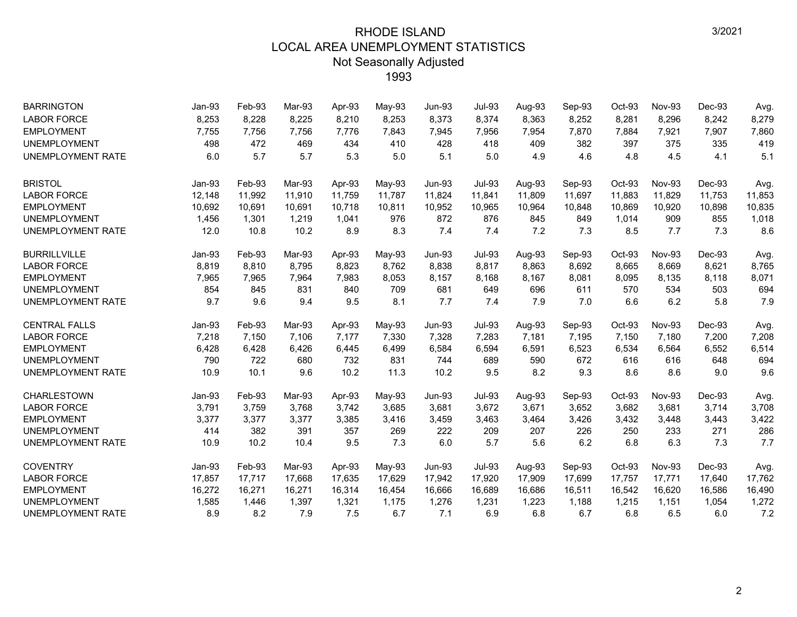| <b>BARRINGTON</b>        | $Jan-93$ | Feb-93 | Mar-93 | Apr-93 | May-93 | <b>Jun-93</b> | <b>Jul-93</b> | Aug-93 | Sep-93 | $Oct-93$ | <b>Nov-93</b> | Dec-93 | Avg.   |
|--------------------------|----------|--------|--------|--------|--------|---------------|---------------|--------|--------|----------|---------------|--------|--------|
| <b>LABOR FORCE</b>       | 8,253    | 8,228  | 8,225  | 8,210  | 8,253  | 8,373         | 8,374         | 8,363  | 8,252  | 8,281    | 8,296         | 8,242  | 8,279  |
| <b>EMPLOYMENT</b>        | 7,755    | 7,756  | 7,756  | 7,776  | 7,843  | 7,945         | 7,956         | 7,954  | 7,870  | 7,884    | 7,921         | 7,907  | 7,860  |
| <b>UNEMPLOYMENT</b>      | 498      | 472    | 469    | 434    | 410    | 428           | 418           | 409    | 382    | 397      | 375           | 335    | 419    |
| <b>UNEMPLOYMENT RATE</b> | 6.0      | 5.7    | 5.7    | 5.3    | 5.0    | 5.1           | 5.0           | 4.9    | 4.6    | 4.8      | 4.5           | 4.1    | 5.1    |
| <b>BRISTOL</b>           | Jan-93   | Feb-93 | Mar-93 | Apr-93 | May-93 | <b>Jun-93</b> | <b>Jul-93</b> | Aug-93 | Sep-93 | Oct-93   | <b>Nov-93</b> | Dec-93 | Avg.   |
| <b>LABOR FORCE</b>       | 12,148   | 11,992 | 11,910 | 11,759 | 11,787 | 11,824        | 11,841        | 11,809 | 11,697 | 11,883   | 11,829        | 11,753 | 11,853 |
| <b>EMPLOYMENT</b>        | 10,692   | 10,691 | 10,691 | 10,718 | 10,811 | 10,952        | 10,965        | 10,964 | 10,848 | 10,869   | 10,920        | 10,898 | 10,835 |
| <b>UNEMPLOYMENT</b>      | 1,456    | 1,301  | 1,219  | 1,041  | 976    | 872           | 876           | 845    | 849    | 1,014    | 909           | 855    | 1,018  |
| <b>UNEMPLOYMENT RATE</b> | 12.0     | 10.8   | 10.2   | 8.9    | 8.3    | 7.4           | 7.4           | 7.2    | 7.3    | 8.5      | 7.7           | 7.3    | 8.6    |
| <b>BURRILLVILLE</b>      | Jan-93   | Feb-93 | Mar-93 | Apr-93 | May-93 | <b>Jun-93</b> | <b>Jul-93</b> | Aug-93 | Sep-93 | Oct-93   | <b>Nov-93</b> | Dec-93 | Avg.   |
| <b>LABOR FORCE</b>       | 8,819    | 8,810  | 8,795  | 8,823  | 8,762  | 8,838         | 8,817         | 8.863  | 8,692  | 8,665    | 8,669         | 8,621  | 8,765  |
| <b>EMPLOYMENT</b>        | 7,965    | 7,965  | 7,964  | 7,983  | 8,053  | 8,157         | 8,168         | 8,167  | 8,081  | 8,095    | 8,135         | 8,118  | 8,071  |
| <b>UNEMPLOYMENT</b>      | 854      | 845    | 831    | 840    | 709    | 681           | 649           | 696    | 611    | 570      | 534           | 503    | 694    |
| <b>UNEMPLOYMENT RATE</b> | 9.7      | 9.6    | 9.4    | 9.5    | 8.1    | 7.7           | 7.4           | 7.9    | 7.0    | 6.6      | 6.2           | 5.8    | 7.9    |
| <b>CENTRAL FALLS</b>     | Jan-93   | Feb-93 | Mar-93 | Apr-93 | May-93 | <b>Jun-93</b> | <b>Jul-93</b> | Aug-93 | Sep-93 | Oct-93   | <b>Nov-93</b> | Dec-93 | Avg.   |
| <b>LABOR FORCE</b>       | 7,218    | 7,150  | 7,106  | 7,177  | 7,330  | 7,328         | 7,283         | 7,181  | 7,195  | 7,150    | 7,180         | 7,200  | 7,208  |
| <b>EMPLOYMENT</b>        | 6,428    | 6,428  | 6,426  | 6,445  | 6,499  | 6,584         | 6,594         | 6,591  | 6,523  | 6,534    | 6,564         | 6,552  | 6,514  |
| <b>UNEMPLOYMENT</b>      | 790      | 722    | 680    | 732    | 831    | 744           | 689           | 590    | 672    | 616      | 616           | 648    | 694    |
| <b>UNEMPLOYMENT RATE</b> | 10.9     | 10.1   | 9.6    | 10.2   | 11.3   | 10.2          | 9.5           | 8.2    | 9.3    | 8.6      | 8.6           | 9.0    | 9.6    |
| <b>CHARLESTOWN</b>       | Jan-93   | Feb-93 | Mar-93 | Apr-93 | May-93 | <b>Jun-93</b> | <b>Jul-93</b> | Aug-93 | Sep-93 | Oct-93   | <b>Nov-93</b> | Dec-93 | Avg.   |
| <b>LABOR FORCE</b>       | 3,791    | 3,759  | 3,768  | 3,742  | 3,685  | 3,681         | 3,672         | 3,671  | 3,652  | 3,682    | 3,681         | 3,714  | 3,708  |
| <b>EMPLOYMENT</b>        | 3,377    | 3,377  | 3,377  | 3,385  | 3,416  | 3,459         | 3,463         | 3,464  | 3,426  | 3,432    | 3,448         | 3,443  | 3,422  |
| <b>UNEMPLOYMENT</b>      | 414      | 382    | 391    | 357    | 269    | 222           | 209           | 207    | 226    | 250      | 233           | 271    | 286    |
| <b>UNEMPLOYMENT RATE</b> | 10.9     | 10.2   | 10.4   | 9.5    | 7.3    | 6.0           | 5.7           | 5.6    | 6.2    | 6.8      | 6.3           | 7.3    | 7.7    |
| <b>COVENTRY</b>          | Jan-93   | Feb-93 | Mar-93 | Apr-93 | May-93 | <b>Jun-93</b> | <b>Jul-93</b> | Aug-93 | Sep-93 | Oct-93   | <b>Nov-93</b> | Dec-93 | Avg.   |
| <b>LABOR FORCE</b>       | 17,857   | 17,717 | 17,668 | 17,635 | 17,629 | 17,942        | 17,920        | 17,909 | 17,699 | 17,757   | 17,771        | 17,640 | 17,762 |
| <b>EMPLOYMENT</b>        | 16,272   | 16,271 | 16,271 | 16,314 | 16,454 | 16,666        | 16,689        | 16,686 | 16,511 | 16,542   | 16,620        | 16,586 | 16,490 |
| <b>UNEMPLOYMENT</b>      | 1,585    | 1,446  | 1,397  | 1,321  | 1,175  | 1,276         | 1,231         | 1,223  | 1,188  | 1,215    | 1,151         | 1,054  | 1,272  |
| <b>UNEMPLOYMENT RATE</b> | 8.9      | 8.2    | 7.9    | 7.5    | 6.7    | 7.1           | 6.9           | 6.8    | 6.7    | 6.8      | 6.5           | 6.0    | 7.2    |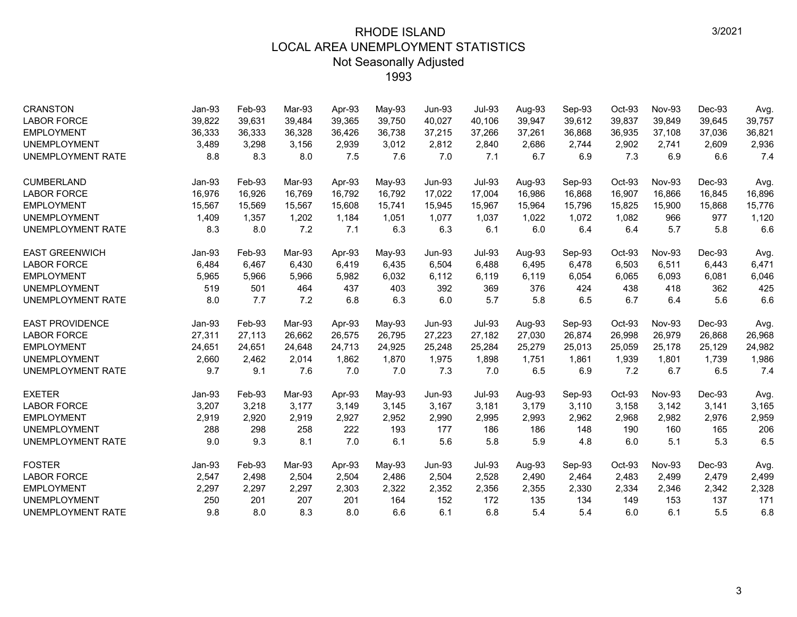| <b>CRANSTON</b><br><b>LABOR FORCE</b> | Jan-93<br>39,822 | Feb-93<br>39,631 | Mar-93<br>39,484 | Apr-93<br>39,365 | May-93<br>39,750 | <b>Jun-93</b><br>40,027 | <b>Jul-93</b><br>40,106 | Aug-93<br>39,947 | Sep-93<br>39,612 | $Oct-93$<br>39,837 | <b>Nov-93</b><br>39,849 | Dec-93<br>39,645 | Avg.<br>39,757 |
|---------------------------------------|------------------|------------------|------------------|------------------|------------------|-------------------------|-------------------------|------------------|------------------|--------------------|-------------------------|------------------|----------------|
| <b>EMPLOYMENT</b>                     | 36,333           | 36,333           | 36,328           | 36,426           | 36,738           | 37,215                  | 37,266                  | 37,261           | 36,868           | 36,935             | 37,108                  | 37,036           | 36,821         |
| <b>UNEMPLOYMENT</b>                   | 3,489            | 3,298            | 3,156            | 2,939            | 3,012            | 2,812                   | 2,840                   | 2,686            | 2,744            | 2,902              | 2,741                   | 2,609            | 2,936          |
| <b>UNEMPLOYMENT RATE</b>              | 8.8              | 8.3              | 8.0              | 7.5              | 7.6              | 7.0                     | 7.1                     | 6.7              | 6.9              | 7.3                | 6.9                     | 6.6              | 7.4            |
|                                       |                  |                  |                  |                  |                  |                         |                         |                  |                  |                    |                         |                  |                |
| <b>CUMBERLAND</b>                     | Jan-93           | Feb-93           | Mar-93           | Apr-93           | $May-93$         | <b>Jun-93</b>           | <b>Jul-93</b>           | Aug-93           | Sep-93           | Oct-93             | Nov-93                  | Dec-93           | Avg.           |
| <b>LABOR FORCE</b>                    | 16,976           | 16,926           | 16.769           | 16.792           | 16,792           | 17,022                  | 17,004                  | 16,986           | 16,868           | 16,907             | 16.866                  | 16,845           | 16,896         |
| <b>EMPLOYMENT</b>                     | 15,567           | 15,569           | 15,567           | 15,608           | 15,741           | 15,945                  | 15,967                  | 15,964           | 15,796           | 15,825             | 15,900                  | 15,868           | 15,776         |
| <b>UNEMPLOYMENT</b>                   | 1,409            | 1,357            | 1,202            | 1,184            | 1,051            | 1,077                   | 1,037                   | 1,022            | 1,072            | 1,082              | 966                     | 977              | 1,120          |
| UNEMPLOYMENT RATE                     | 8.3              | 8.0              | 7.2              | 7.1              | 6.3              | 6.3                     | 6.1                     | 6.0              | 6.4              | 6.4                | 5.7                     | 5.8              | 6.6            |
| <b>EAST GREENWICH</b>                 | Jan-93           | Feb-93           | Mar-93           | Apr-93           | May-93           | <b>Jun-93</b>           | <b>Jul-93</b>           | Aug-93           | Sep-93           | Oct-93             | <b>Nov-93</b>           | Dec-93           | Avg.           |
| <b>LABOR FORCE</b>                    | 6,484            | 6,467            | 6,430            | 6,419            | 6,435            | 6,504                   | 6,488                   | 6,495            | 6,478            | 6,503              | 6,511                   | 6,443            | 6,471          |
| <b>EMPLOYMENT</b>                     | 5,965            | 5,966            | 5,966            | 5,982            | 6,032            | 6,112                   | 6,119                   | 6,119            | 6,054            | 6,065              | 6,093                   | 6,081            | 6,046          |
| <b>UNEMPLOYMENT</b>                   | 519              | 501              | 464              | 437              | 403              | 392                     | 369                     | 376              | 424              | 438                | 418                     | 362              | 425            |
| UNEMPLOYMENT RATE                     | 8.0              | 7.7              | 7.2              | 6.8              | 6.3              | 6.0                     | 5.7                     | 5.8              | 6.5              | 6.7                | 6.4                     | 5.6              | 6.6            |
| <b>EAST PROVIDENCE</b>                | Jan-93           | Feb-93           | Mar-93           | Apr-93           | May-93           | <b>Jun-93</b>           | <b>Jul-93</b>           | Aug-93           | Sep-93           | Oct-93             | Nov-93                  | Dec-93           | Avg.           |
| <b>LABOR FORCE</b>                    | 27,311           | 27,113           | 26,662           | 26,575           | 26,795           | 27,223                  | 27,182                  | 27,030           | 26,874           | 26,998             | 26,979                  | 26,868           | 26,968         |
| <b>EMPLOYMENT</b>                     | 24,651           | 24,651           | 24,648           | 24,713           | 24,925           | 25,248                  | 25,284                  | 25,279           | 25,013           | 25,059             | 25,178                  | 25,129           | 24,982         |
| <b>UNEMPLOYMENT</b>                   | 2,660            | 2,462            | 2,014            | 1,862            | 1,870            | 1,975                   | 1,898                   | 1,751            | 1,861            | 1,939              | 1,801                   | 1,739            | 1,986          |
| UNEMPLOYMENT RATE                     | 9.7              | 9.1              | 7.6              | 7.0              | 7.0              | 7.3                     | 7.0                     | 6.5              | 6.9              | 7.2                | 6.7                     | 6.5              | 7.4            |
| <b>EXETER</b>                         | Jan-93           | Feb-93           | Mar-93           | Apr-93           | May-93           | <b>Jun-93</b>           | <b>Jul-93</b>           | Aug-93           | Sep-93           | Oct-93             | Nov-93                  | Dec-93           | Avg.           |
| <b>LABOR FORCE</b>                    | 3,207            | 3,218            | 3,177            | 3,149            | 3,145            | 3,167                   | 3,181                   | 3,179            | 3,110            | 3,158              | 3,142                   | 3,141            | 3,165          |
| <b>EMPLOYMENT</b>                     | 2,919            | 2,920            | 2,919            | 2,927            | 2,952            | 2,990                   | 2,995                   | 2,993            | 2,962            | 2,968              | 2,982                   | 2,976            | 2,959          |
| <b>UNEMPLOYMENT</b>                   | 288              | 298              | 258              | 222              | 193              | 177                     | 186                     | 186              | 148              | 190                | 160                     | 165              | 206            |
| UNEMPLOYMENT RATE                     | 9.0              | 9.3              | 8.1              | 7.0              | 6.1              | 5.6                     | 5.8                     | 5.9              | 4.8              | 6.0                | 5.1                     | 5.3              | 6.5            |
| <b>FOSTER</b>                         | Jan-93           | Feb-93           | Mar-93           | Apr-93           | May-93           | <b>Jun-93</b>           | <b>Jul-93</b>           | Aug-93           | Sep-93           | Oct-93             | Nov-93                  | Dec-93           | Avg.           |
| <b>LABOR FORCE</b>                    | 2,547            | 2,498            | 2,504            | 2,504            | 2,486            | 2,504                   | 2,528                   | 2,490            | 2,464            | 2,483              | 2,499                   | 2,479            | 2,499          |
| <b>EMPLOYMENT</b>                     | 2,297            | 2,297            | 2,297            | 2,303            | 2,322            | 2,352                   | 2,356                   | 2,355            | 2,330            | 2,334              | 2,346                   | 2,342            | 2,328          |
| <b>UNEMPLOYMENT</b>                   | 250              | 201              | 207              | 201              | 164              | 152                     | 172                     | 135              | 134              | 149                | 153                     | 137              | 171            |
| <b>UNEMPLOYMENT RATE</b>              | 9.8              | 8.0              | 8.3              | 8.0              | 6.6              | 6.1                     | 6.8                     | 5.4              | 5.4              | 6.0                | 6.1                     | 5.5              | 6.8            |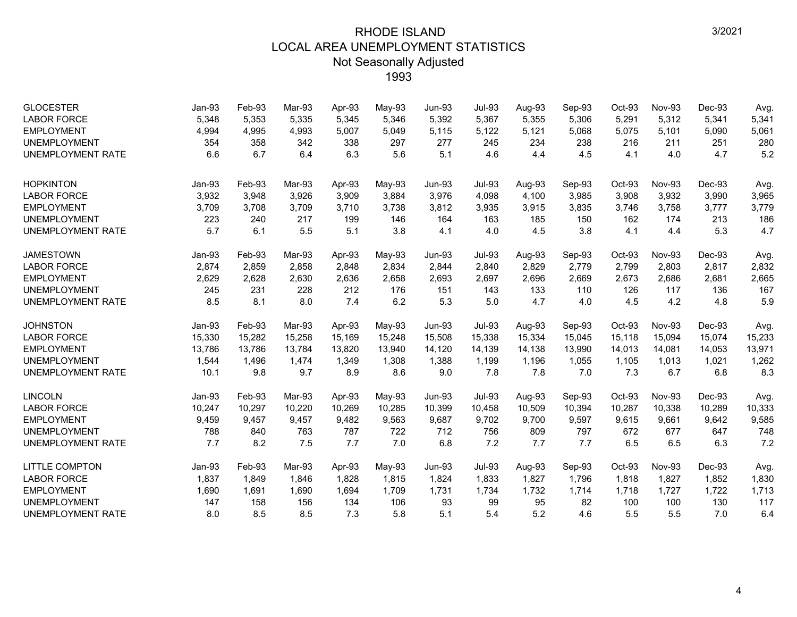| <b>GLOCESTER</b>         | Jan-93   | Feb-93 | Mar-93 | Apr-93 | May-93 | $Jun-93$      | <b>Jul-93</b> | Aug-93 | Sep-93 | Oct-93 | <b>Nov-93</b> | Dec-93 | Avg.   |
|--------------------------|----------|--------|--------|--------|--------|---------------|---------------|--------|--------|--------|---------------|--------|--------|
| <b>LABOR FORCE</b>       | 5,348    | 5,353  | 5,335  | 5,345  | 5,346  | 5,392         | 5,367         | 5,355  | 5,306  | 5,291  | 5,312         | 5,341  | 5,341  |
| <b>EMPLOYMENT</b>        | 4,994    | 4,995  | 4,993  | 5,007  | 5,049  | 5,115         | 5,122         | 5,121  | 5,068  | 5,075  | 5,101         | 5,090  | 5,061  |
| <b>UNEMPLOYMENT</b>      | 354      | 358    | 342    | 338    | 297    | 277           | 245           | 234    | 238    | 216    | 211           | 251    | 280    |
| <b>UNEMPLOYMENT RATE</b> | 6.6      | 6.7    | 6.4    | 6.3    | 5.6    | 5.1           | 4.6           | 4.4    | 4.5    | 4.1    | 4.0           | 4.7    | 5.2    |
| <b>HOPKINTON</b>         | Jan-93   | Feb-93 | Mar-93 | Apr-93 | May-93 | $Jun-93$      | <b>Jul-93</b> | Aug-93 | Sep-93 | Oct-93 | <b>Nov-93</b> | Dec-93 | Avg.   |
| <b>LABOR FORCE</b>       | 3,932    | 3,948  | 3,926  | 3,909  | 3,884  | 3,976         | 4,098         | 4,100  | 3,985  | 3,908  | 3,932         | 3,990  | 3,965  |
| <b>EMPLOYMENT</b>        | 3,709    | 3,708  | 3,709  | 3,710  | 3,738  | 3,812         | 3,935         | 3,915  | 3,835  | 3,746  | 3,758         | 3,777  | 3,779  |
| <b>UNEMPLOYMENT</b>      | 223      | 240    | 217    | 199    | 146    | 164           | 163           | 185    | 150    | 162    | 174           | 213    | 186    |
| <b>UNEMPLOYMENT RATE</b> | 5.7      | 6.1    | 5.5    | 5.1    | 3.8    | 4.1           | 4.0           | 4.5    | 3.8    | 4.1    | 4.4           | 5.3    | 4.7    |
| <b>JAMESTOWN</b>         | Jan-93   | Feb-93 | Mar-93 | Apr-93 | May-93 | <b>Jun-93</b> | <b>Jul-93</b> | Aug-93 | Sep-93 | Oct-93 | Nov-93        | Dec-93 | Avg.   |
| <b>LABOR FORCE</b>       | 2,874    | 2,859  | 2,858  | 2,848  | 2,834  | 2,844         | 2,840         | 2,829  | 2,779  | 2,799  | 2,803         | 2,817  | 2,832  |
| <b>EMPLOYMENT</b>        | 2,629    | 2,628  | 2,630  | 2,636  | 2,658  | 2,693         | 2,697         | 2,696  | 2,669  | 2,673  | 2,686         | 2,681  | 2,665  |
| <b>UNEMPLOYMENT</b>      | 245      | 231    | 228    | 212    | 176    | 151           | 143           | 133    | 110    | 126    | 117           | 136    | 167    |
| <b>UNEMPLOYMENT RATE</b> | 8.5      | 8.1    | 8.0    | 7.4    | 6.2    | 5.3           | 5.0           | 4.7    | 4.0    | 4.5    | 4.2           | 4.8    | 5.9    |
| <b>JOHNSTON</b>          | Jan-93   | Feb-93 | Mar-93 | Apr-93 | May-93 | <b>Jun-93</b> | <b>Jul-93</b> | Aug-93 | Sep-93 | Oct-93 | <b>Nov-93</b> | Dec-93 | Avg.   |
| <b>LABOR FORCE</b>       | 15,330   | 15,282 | 15,258 | 15,169 | 15,248 | 15,508        | 15,338        | 15,334 | 15,045 | 15,118 | 15,094        | 15,074 | 15,233 |
| <b>EMPLOYMENT</b>        | 13,786   | 13,786 | 13,784 | 13,820 | 13,940 | 14,120        | 14,139        | 14,138 | 13,990 | 14,013 | 14,081        | 14,053 | 13,971 |
| <b>UNEMPLOYMENT</b>      | 1,544    | 1,496  | 1,474  | 1,349  | 1,308  | 1,388         | 1,199         | 1,196  | 1,055  | 1,105  | 1,013         | 1,021  | 1,262  |
| <b>UNEMPLOYMENT RATE</b> | 10.1     | 9.8    | 9.7    | 8.9    | 8.6    | 9.0           | 7.8           | 7.8    | 7.0    | 7.3    | 6.7           | 6.8    | 8.3    |
| <b>LINCOLN</b>           | $Jan-93$ | Feb-93 | Mar-93 | Apr-93 | May-93 | $Jun-93$      | <b>Jul-93</b> | Aug-93 | Sep-93 | Oct-93 | <b>Nov-93</b> | Dec-93 | Avg.   |
| <b>LABOR FORCE</b>       | 10,247   | 10,297 | 10,220 | 10,269 | 10,285 | 10,399        | 10,458        | 10,509 | 10,394 | 10,287 | 10,338        | 10,289 | 10,333 |
| <b>EMPLOYMENT</b>        | 9,459    | 9,457  | 9,457  | 9,482  | 9,563  | 9,687         | 9,702         | 9,700  | 9,597  | 9,615  | 9,661         | 9,642  | 9,585  |
| <b>UNEMPLOYMENT</b>      | 788      | 840    | 763    | 787    | 722    | 712           | 756           | 809    | 797    | 672    | 677           | 647    | 748    |
| <b>UNEMPLOYMENT RATE</b> | 7.7      | 8.2    | 7.5    | 7.7    | 7.0    | 6.8           | 7.2           | 7.7    | 7.7    | 6.5    | 6.5           | 6.3    | 7.2    |
| <b>LITTLE COMPTON</b>    | Jan-93   | Feb-93 | Mar-93 | Apr-93 | May-93 | <b>Jun-93</b> | <b>Jul-93</b> | Aug-93 | Sep-93 | Oct-93 | <b>Nov-93</b> | Dec-93 | Avg.   |
| <b>LABOR FORCE</b>       | 1,837    | 1,849  | 1,846  | 1,828  | 1,815  | 1,824         | 1,833         | 1,827  | 1,796  | 1,818  | 1,827         | 1,852  | 1,830  |
| <b>EMPLOYMENT</b>        | 1,690    | 1,691  | 1,690  | 1,694  | 1,709  | 1,731         | 1,734         | 1,732  | 1,714  | 1,718  | 1,727         | 1,722  | 1,713  |
| <b>UNEMPLOYMENT</b>      | 147      | 158    | 156    | 134    | 106    | 93            | 99            | 95     | 82     | 100    | 100           | 130    | 117    |
| <b>UNEMPLOYMENT RATE</b> | 8.0      | 8.5    | 8.5    | 7.3    | 5.8    | 5.1           | 5.4           | 5.2    | 4.6    | 5.5    | 5.5           | 7.0    | 6.4    |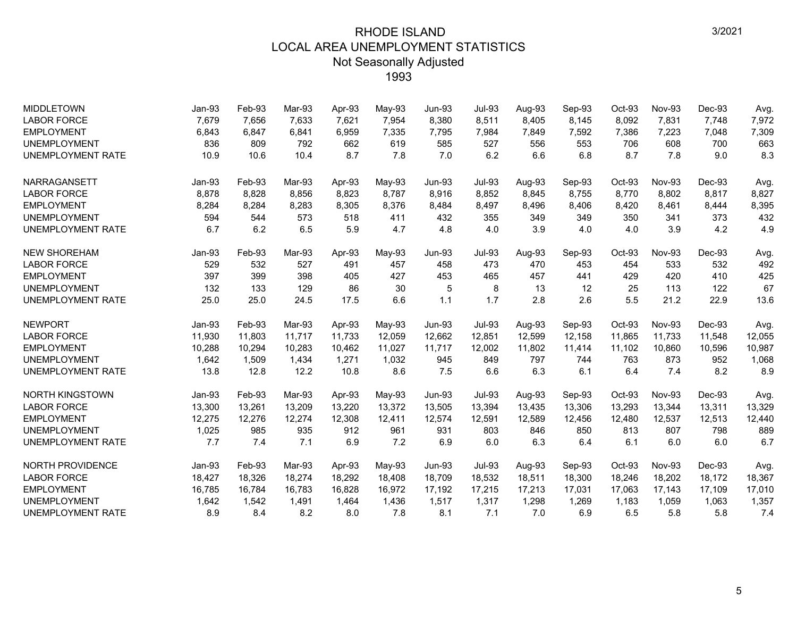| <b>MIDDLETOWN</b>        | Jan-93   | Feb-93 | Mar-93 | Apr-93 | May-93 | $Jun-93$      | Jul-93        | Aug-93 | Sep-93 | Oct-93 | <b>Nov-93</b> | Dec-93   | Avg.   |
|--------------------------|----------|--------|--------|--------|--------|---------------|---------------|--------|--------|--------|---------------|----------|--------|
| <b>LABOR FORCE</b>       | 7,679    | 7,656  | 7,633  | 7,621  | 7,954  | 8,380         | 8,511         | 8,405  | 8,145  | 8,092  | 7,831         | 7,748    | 7,972  |
| <b>EMPLOYMENT</b>        | 6,843    | 6,847  | 6,841  | 6,959  | 7,335  | 7,795         | 7,984         | 7,849  | 7,592  | 7,386  | 7,223         | 7,048    | 7,309  |
| <b>UNEMPLOYMENT</b>      | 836      | 809    | 792    | 662    | 619    | 585           | 527           | 556    | 553    | 706    | 608           | 700      | 663    |
| <b>UNEMPLOYMENT RATE</b> | 10.9     | 10.6   | 10.4   | 8.7    | 7.8    | 7.0           | 6.2           | 6.6    | 6.8    | 8.7    | 7.8           | 9.0      | 8.3    |
| <b>NARRAGANSETT</b>      | Jan-93   | Feb-93 | Mar-93 | Apr-93 | May-93 | <b>Jun-93</b> | Jul-93        | Aug-93 | Sep-93 | Oct-93 | Nov-93        | Dec-93   | Avg.   |
| <b>LABOR FORCE</b>       | 8,878    | 8,828  | 8.856  | 8,823  | 8.787  | 8,916         | 8,852         | 8.845  | 8,755  | 8,770  | 8,802         | 8.817    | 8,827  |
| <b>EMPLOYMENT</b>        | 8,284    | 8,284  | 8,283  | 8,305  | 8,376  | 8,484         | 8,497         | 8,496  | 8,406  | 8,420  | 8,461         | 8,444    | 8,395  |
| <b>UNEMPLOYMENT</b>      | 594      | 544    | 573    | 518    | 411    | 432           | 355           | 349    | 349    | 350    | 341           | 373      | 432    |
| <b>UNEMPLOYMENT RATE</b> | 6.7      | 6.2    | 6.5    | 5.9    | 4.7    | 4.8           | 4.0           | 3.9    | 4.0    | 4.0    | 3.9           | 4.2      | 4.9    |
| <b>NEW SHOREHAM</b>      | $Jan-93$ | Feb-93 | Mar-93 | Apr-93 | May-93 | <b>Jun-93</b> | Jul-93        | Aug-93 | Sep-93 | Oct-93 | <b>Nov-93</b> | $Dec-93$ | Avg.   |
| <b>LABOR FORCE</b>       | 529      | 532    | 527    | 491    | 457    | 458           | 473           | 470    | 453    | 454    | 533           | 532      | 492    |
| <b>EMPLOYMENT</b>        | 397      | 399    | 398    | 405    | 427    | 453           | 465           | 457    | 441    | 429    | 420           | 410      | 425    |
| <b>UNEMPLOYMENT</b>      | 132      | 133    | 129    | 86     | 30     | 5             | 8             | 13     | 12     | 25     | 113           | 122      | 67     |
| <b>UNEMPLOYMENT RATE</b> | 25.0     | 25.0   | 24.5   | 17.5   | 6.6    | 1.1           | 1.7           | 2.8    | 2.6    | 5.5    | 21.2          | 22.9     | 13.6   |
| <b>NEWPORT</b>           | $Jan-93$ | Feb-93 | Mar-93 | Apr-93 | May-93 | <b>Jun-93</b> | <b>Jul-93</b> | Aug-93 | Sep-93 | Oct-93 | <b>Nov-93</b> | Dec-93   | Avg.   |
| <b>LABOR FORCE</b>       | 11,930   | 11,803 | 11,717 | 11,733 | 12,059 | 12,662        | 12,851        | 12,599 | 12,158 | 11,865 | 11,733        | 11,548   | 12,055 |
| <b>EMPLOYMENT</b>        | 10,288   | 10,294 | 10.283 | 10,462 | 11,027 | 11,717        | 12,002        | 11,802 | 11,414 | 11,102 | 10,860        | 10,596   | 10,987 |
| <b>UNEMPLOYMENT</b>      | 1,642    | 1,509  | 1,434  | 1,271  | 1,032  | 945           | 849           | 797    | 744    | 763    | 873           | 952      | 1,068  |
| <b>UNEMPLOYMENT RATE</b> | 13.8     | 12.8   | 12.2   | 10.8   | 8.6    | 7.5           | 6.6           | 6.3    | 6.1    | 6.4    | 7.4           | 8.2      | 8.9    |
| <b>NORTH KINGSTOWN</b>   | Jan-93   | Feb-93 | Mar-93 | Apr-93 | May-93 | <b>Jun-93</b> | <b>Jul-93</b> | Aug-93 | Sep-93 | Oct-93 | <b>Nov-93</b> | Dec-93   | Avg.   |
| <b>LABOR FORCE</b>       | 13,300   | 13,261 | 13,209 | 13,220 | 13,372 | 13,505        | 13,394        | 13,435 | 13,306 | 13,293 | 13,344        | 13,311   | 13,329 |
| <b>EMPLOYMENT</b>        | 12,275   | 12,276 | 12,274 | 12,308 | 12,411 | 12,574        | 12,591        | 12,589 | 12,456 | 12,480 | 12,537        | 12,513   | 12,440 |
| <b>UNEMPLOYMENT</b>      | 1,025    | 985    | 935    | 912    | 961    | 931           | 803           | 846    | 850    | 813    | 807           | 798      | 889    |
| <b>UNEMPLOYMENT RATE</b> | 7.7      | 7.4    | 7.1    | 6.9    | 7.2    | 6.9           | 6.0           | 6.3    | 6.4    | 6.1    | 6.0           | 6.0      | 6.7    |
| NORTH PROVIDENCE         | $Jan-93$ | Feb-93 | Mar-93 | Apr-93 | May-93 | <b>Jun-93</b> | <b>Jul-93</b> | Aug-93 | Sep-93 | Oct-93 | <b>Nov-93</b> | Dec-93   | Avg.   |
| <b>LABOR FORCE</b>       | 18,427   | 18,326 | 18,274 | 18,292 | 18,408 | 18,709        | 18,532        | 18,511 | 18,300 | 18,246 | 18,202        | 18,172   | 18,367 |
| <b>EMPLOYMENT</b>        | 16,785   | 16,784 | 16,783 | 16,828 | 16,972 | 17,192        | 17,215        | 17,213 | 17,031 | 17,063 | 17,143        | 17,109   | 17,010 |
| <b>UNEMPLOYMENT</b>      | 1,642    | 1,542  | 1,491  | 1,464  | 1,436  | 1,517         | 1,317         | 1,298  | 1,269  | 1,183  | 1,059         | 1,063    | 1,357  |
| <b>UNEMPLOYMENT RATE</b> | 8.9      | 8.4    | 8.2    | 8.0    | 7.8    | 8.1           | 7.1           | 7.0    | 6.9    | 6.5    | 5.8           | 5.8      | 7.4    |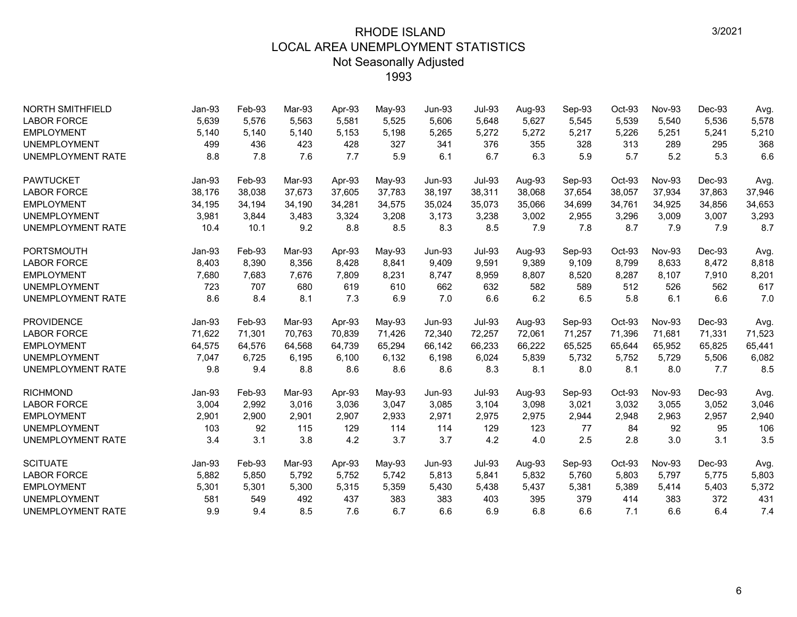| <b>NORTH SMITHFIELD</b>  | Jan-93 | Feb-93 | Mar-93 | Apr-93 | May-93 | $Jun-93$      | <b>Jul-93</b> | Aug-93 | Sep-93 | $Oct-93$ | <b>Nov-93</b> | Dec-93 | Avg.   |
|--------------------------|--------|--------|--------|--------|--------|---------------|---------------|--------|--------|----------|---------------|--------|--------|
| <b>LABOR FORCE</b>       | 5,639  | 5,576  | 5.563  | 5,581  | 5,525  | 5.606         | 5,648         | 5,627  | 5,545  | 5,539    | 5,540         | 5,536  | 5,578  |
| <b>EMPLOYMENT</b>        | 5,140  | 5,140  | 5,140  | 5,153  | 5,198  | 5,265         | 5,272         | 5,272  | 5,217  | 5,226    | 5,251         | 5,241  | 5,210  |
| <b>UNEMPLOYMENT</b>      | 499    | 436    | 423    | 428    | 327    | 341           | 376           | 355    | 328    | 313      | 289           | 295    | 368    |
| <b>UNEMPLOYMENT RATE</b> | 8.8    | 7.8    | 7.6    | 7.7    | 5.9    | 6.1           | 6.7           | 6.3    | 5.9    | 5.7      | 5.2           | 5.3    | 6.6    |
| <b>PAWTUCKET</b>         | Jan-93 | Feb-93 | Mar-93 | Apr-93 | May-93 | $Jun-93$      | <b>Jul-93</b> | Aug-93 | Sep-93 | Oct-93   | <b>Nov-93</b> | Dec-93 | Avg.   |
| <b>LABOR FORCE</b>       | 38,176 | 38,038 | 37,673 | 37,605 | 37,783 | 38,197        | 38,311        | 38,068 | 37,654 | 38,057   | 37,934        | 37,863 | 37,946 |
| <b>EMPLOYMENT</b>        | 34,195 | 34,194 | 34,190 | 34,281 | 34,575 | 35,024        | 35,073        | 35,066 | 34,699 | 34,761   | 34,925        | 34,856 | 34,653 |
| <b>UNEMPLOYMENT</b>      | 3,981  | 3,844  | 3,483  | 3,324  | 3,208  | 3,173         | 3,238         | 3,002  | 2,955  | 3,296    | 3,009         | 3,007  | 3,293  |
| <b>UNEMPLOYMENT RATE</b> | 10.4   | 10.1   | 9.2    | 8.8    | 8.5    | 8.3           | 8.5           | 7.9    | 7.8    | 8.7      | 7.9           | 7.9    | 8.7    |
| <b>PORTSMOUTH</b>        | Jan-93 | Feb-93 | Mar-93 | Apr-93 | May-93 | Jun-93        | <b>Jul-93</b> | Aug-93 | Sep-93 | Oct-93   | <b>Nov-93</b> | Dec-93 | Avg.   |
| <b>LABOR FORCE</b>       | 8,403  | 8,390  | 8,356  | 8,428  | 8,841  | 9,409         | 9,591         | 9,389  | 9,109  | 8,799    | 8,633         | 8,472  | 8,818  |
| <b>EMPLOYMENT</b>        | 7,680  | 7,683  | 7,676  | 7,809  | 8,231  | 8,747         | 8,959         | 8,807  | 8,520  | 8,287    | 8,107         | 7,910  | 8,201  |
| <b>UNEMPLOYMENT</b>      | 723    | 707    | 680    | 619    | 610    | 662           | 632           | 582    | 589    | 512      | 526           | 562    | 617    |
| <b>UNEMPLOYMENT RATE</b> | 8.6    | 8.4    | 8.1    | 7.3    | 6.9    | 7.0           | 6.6           | 6.2    | 6.5    | 5.8      | 6.1           | 6.6    | 7.0    |
| <b>PROVIDENCE</b>        | Jan-93 | Feb-93 | Mar-93 | Apr-93 | May-93 | <b>Jun-93</b> | <b>Jul-93</b> | Aug-93 | Sep-93 | Oct-93   | <b>Nov-93</b> | Dec-93 | Avg.   |
| <b>LABOR FORCE</b>       | 71,622 | 71,301 | 70,763 | 70,839 | 71,426 | 72,340        | 72,257        | 72,061 | 71,257 | 71,396   | 71,681        | 71,331 | 71,523 |
| <b>EMPLOYMENT</b>        | 64,575 | 64,576 | 64,568 | 64.739 | 65,294 | 66,142        | 66,233        | 66,222 | 65,525 | 65,644   | 65,952        | 65,825 | 65,441 |
| <b>UNEMPLOYMENT</b>      | 7,047  | 6,725  | 6,195  | 6,100  | 6,132  | 6,198         | 6,024         | 5,839  | 5,732  | 5,752    | 5,729         | 5,506  | 6,082  |
| <b>UNEMPLOYMENT RATE</b> | 9.8    | 9.4    | 8.8    | 8.6    | 8.6    | 8.6           | 8.3           | 8.1    | 8.0    | 8.1      | 8.0           | 7.7    | 8.5    |
| <b>RICHMOND</b>          | Jan-93 | Feb-93 | Mar-93 | Apr-93 | May-93 | $Jun-93$      | <b>Jul-93</b> | Aug-93 | Sep-93 | Oct-93   | Nov-93        | Dec-93 | Avg.   |
| <b>LABOR FORCE</b>       | 3,004  | 2,992  | 3,016  | 3,036  | 3,047  | 3,085         | 3,104         | 3,098  | 3,021  | 3,032    | 3,055         | 3,052  | 3,046  |
| <b>EMPLOYMENT</b>        | 2,901  | 2,900  | 2,901  | 2,907  | 2,933  | 2,971         | 2,975         | 2,975  | 2,944  | 2,948    | 2,963         | 2,957  | 2,940  |
| <b>UNEMPLOYMENT</b>      | 103    | 92     | 115    | 129    | 114    | 114           | 129           | 123    | 77     | 84       | 92            | 95     | 106    |
| <b>UNEMPLOYMENT RATE</b> | 3.4    | 3.1    | 3.8    | 4.2    | 3.7    | 3.7           | 4.2           | 4.0    | 2.5    | 2.8      | 3.0           | 3.1    | 3.5    |
| <b>SCITUATE</b>          | Jan-93 | Feb-93 | Mar-93 | Apr-93 | May-93 | $Jun-93$      | <b>Jul-93</b> | Aug-93 | Sep-93 | Oct-93   | <b>Nov-93</b> | Dec-93 | Avg.   |
| <b>LABOR FORCE</b>       | 5,882  | 5,850  | 5,792  | 5,752  | 5,742  | 5,813         | 5,841         | 5,832  | 5,760  | 5,803    | 5,797         | 5,775  | 5,803  |
| <b>EMPLOYMENT</b>        | 5,301  | 5,301  | 5,300  | 5,315  | 5,359  | 5,430         | 5,438         | 5,437  | 5,381  | 5,389    | 5,414         | 5,403  | 5,372  |
| <b>UNEMPLOYMENT</b>      | 581    | 549    | 492    | 437    | 383    | 383           | 403           | 395    | 379    | 414      | 383           | 372    | 431    |
| <b>UNEMPLOYMENT RATE</b> | 9.9    | 9.4    | 8.5    | 7.6    | 6.7    | 6.6           | 6.9           | 6.8    | 6.6    | 7.1      | 6.6           | 6.4    | 7.4    |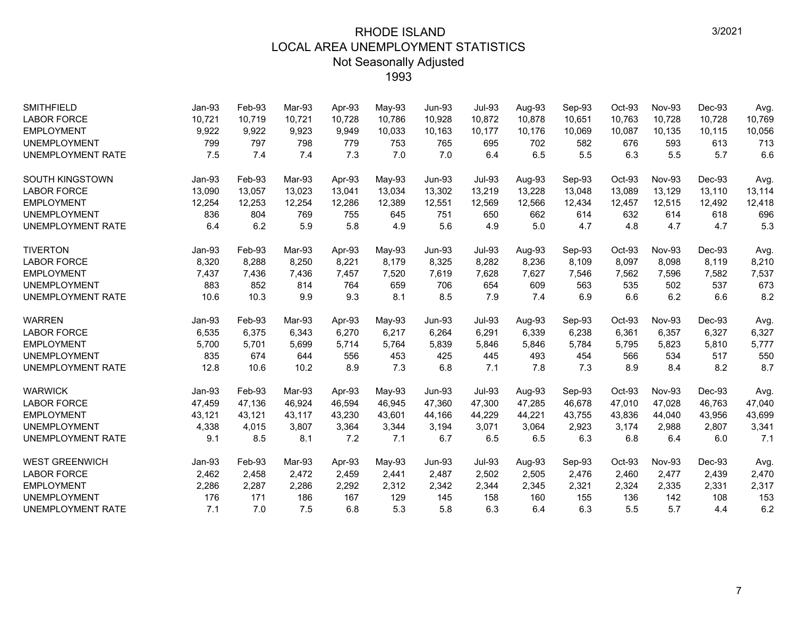| <b>SMITHFIELD</b><br><b>LABOR FORCE</b> | Jan-93<br>10,721 | Feb-93<br>10,719 | Mar-93<br>10.721 | Apr-93<br>10,728 | May-93<br>10,786 | <b>Jun-93</b><br>10,928 | <b>Jul-93</b><br>10,872 | Aug-93<br>10,878 | Sep-93<br>10,651 | Oct-93<br>10,763 | <b>Nov-93</b><br>10,728 | Dec-93<br>10,728 | Avg.<br>10,769 |
|-----------------------------------------|------------------|------------------|------------------|------------------|------------------|-------------------------|-------------------------|------------------|------------------|------------------|-------------------------|------------------|----------------|
| <b>EMPLOYMENT</b>                       | 9,922            | 9,922            | 9,923            | 9,949            | 10,033           | 10,163                  | 10,177                  | 10,176           | 10,069           | 10,087           | 10,135                  | 10,115           | 10,056         |
| <b>UNEMPLOYMENT</b>                     | 799              | 797              | 798              | 779              | 753              | 765                     | 695                     | 702              | 582              | 676              | 593                     | 613              | 713            |
| <b>UNEMPLOYMENT RATE</b>                | 7.5              | 7.4              | 7.4              | 7.3              | 7.0              | 7.0                     | 6.4                     | 6.5              | 5.5              | 6.3              | 5.5                     | 5.7              | 6.6            |
|                                         |                  |                  |                  |                  |                  |                         |                         |                  |                  |                  |                         |                  |                |
| SOUTH KINGSTOWN                         | Jan-93           | Feb-93           | Mar-93           | Apr-93           | May-93           | <b>Jun-93</b>           | <b>Jul-93</b>           | Aug-93           | Sep-93           | Oct-93           | <b>Nov-93</b>           | Dec-93           | Avg.           |
| <b>LABOR FORCE</b>                      | 13,090           | 13,057           | 13,023           | 13,041           | 13,034           | 13,302                  | 13,219                  | 13,228           | 13,048           | 13,089           | 13,129                  | 13,110           | 13,114         |
| <b>EMPLOYMENT</b>                       | 12,254           | 12,253           | 12,254           | 12,286           | 12,389           | 12,551                  | 12,569                  | 12,566           | 12,434           | 12,457           | 12,515                  | 12.492           | 12,418         |
| <b>UNEMPLOYMENT</b>                     | 836              | 804              | 769              | 755              | 645              | 751                     | 650                     | 662              | 614              | 632              | 614                     | 618              | 696            |
| <b>UNEMPLOYMENT RATE</b>                | 6.4              | 6.2              | 5.9              | 5.8              | 4.9              | 5.6                     | 4.9                     | 5.0              | 4.7              | 4.8              | 4.7                     | 4.7              | 5.3            |
| <b>TIVERTON</b>                         | Jan-93           | Feb-93           | Mar-93           | Apr-93           | May-93           | <b>Jun-93</b>           | <b>Jul-93</b>           | Aug-93           | Sep-93           | Oct-93           | <b>Nov-93</b>           | Dec-93           | Avg.           |
| <b>LABOR FORCE</b>                      | 8,320            | 8,288            | 8,250            | 8,221            | 8,179            | 8,325                   | 8,282                   | 8,236            | 8,109            | 8,097            | 8,098                   | 8,119            | 8,210          |
| <b>EMPLOYMENT</b>                       | 7,437            | 7,436            | 7,436            | 7,457            | 7,520            | 7,619                   | 7,628                   | 7,627            | 7,546            | 7,562            | 7,596                   | 7,582            | 7,537          |
| <b>UNEMPLOYMENT</b>                     | 883              | 852              | 814              | 764              | 659              | 706                     | 654                     | 609              | 563              | 535              | 502                     | 537              | 673            |
| <b>UNEMPLOYMENT RATE</b>                | 10.6             | 10.3             | 9.9              | 9.3              | 8.1              | 8.5                     | 7.9                     | 7.4              | 6.9              | 6.6              | 6.2                     | 6.6              | 8.2            |
| <b>WARREN</b>                           | Jan-93           | Feb-93           | Mar-93           | Apr-93           | May-93           | $Jun-93$                | <b>Jul-93</b>           | Aug-93           | Sep-93           | Oct-93           | Nov-93                  | Dec-93           | Avg.           |
| <b>LABOR FORCE</b>                      | 6,535            | 6,375            | 6.343            | 6,270            | 6,217            | 6,264                   | 6,291                   | 6,339            | 6,238            | 6,361            | 6,357                   | 6,327            | 6,327          |
| <b>EMPLOYMENT</b>                       | 5,700            | 5,701            | 5,699            | 5,714            | 5,764            | 5,839                   | 5,846                   | 5,846            | 5,784            | 5,795            | 5,823                   | 5,810            | 5,777          |
| <b>UNEMPLOYMENT</b>                     | 835              | 674              | 644              | 556              | 453              | 425                     | 445                     | 493              | 454              | 566              | 534                     | 517              | 550            |
| <b>UNEMPLOYMENT RATE</b>                | 12.8             | 10.6             | 10.2             | 8.9              | 7.3              | 6.8                     | 7.1                     | 7.8              | 7.3              | 8.9              | 8.4                     | 8.2              | 8.7            |
| <b>WARWICK</b>                          | Jan-93           | Feb-93           | Mar-93           | Apr-93           | May-93           | $Jun-93$                | <b>Jul-93</b>           | Aug-93           | Sep-93           | Oct-93           | <b>Nov-93</b>           | Dec-93           | Avg.           |
| <b>LABOR FORCE</b>                      | 47,459           | 47,136           | 46.924           | 46,594           | 46,945           | 47,360                  | 47,300                  | 47,285           | 46,678           | 47.010           | 47.028                  | 46.763           | 47,040         |
| <b>EMPLOYMENT</b>                       | 43,121           | 43,121           | 43,117           | 43,230           | 43,601           | 44,166                  | 44,229                  | 44,221           | 43,755           | 43,836           | 44,040                  | 43,956           | 43,699         |
| <b>UNEMPLOYMENT</b>                     | 4,338            | 4,015            | 3,807            | 3,364            | 3,344            | 3,194                   | 3,071                   | 3,064            | 2,923            | 3,174            | 2,988                   | 2,807            | 3,341          |
| <b>UNEMPLOYMENT RATE</b>                | 9.1              | 8.5              | 8.1              | 7.2              | 7.1              | 6.7                     | 6.5                     | 6.5              | 6.3              | 6.8              | 6.4                     | 6.0              | 7.1            |
| <b>WEST GREENWICH</b>                   | $Jan-93$         | Feb-93           | Mar-93           | Apr-93           | May-93           | $Jun-93$                | <b>Jul-93</b>           | Aug-93           | Sep-93           | Oct-93           | <b>Nov-93</b>           | Dec-93           | Avg.           |
| <b>LABOR FORCE</b>                      | 2,462            | 2,458            | 2,472            | 2,459            | 2,441            | 2,487                   | 2,502                   | 2,505            | 2,476            | 2,460            | 2,477                   | 2,439            | 2,470          |
| <b>EMPLOYMENT</b>                       | 2,286            | 2,287            | 2,286            | 2,292            | 2,312            | 2,342                   | 2,344                   | 2,345            | 2,321            | 2,324            | 2,335                   | 2,331            | 2,317          |
| <b>UNEMPLOYMENT</b>                     | 176              | 171              | 186              | 167              | 129              | 145                     | 158                     | 160              | 155              | 136              | 142                     | 108              | 153            |
| <b>UNEMPLOYMENT RATE</b>                | 7.1              | 7.0              | 7.5              | 6.8              | 5.3              | 5.8                     | 6.3                     | 6.4              | 6.3              | 5.5              | 5.7                     | 4.4              | 6.2            |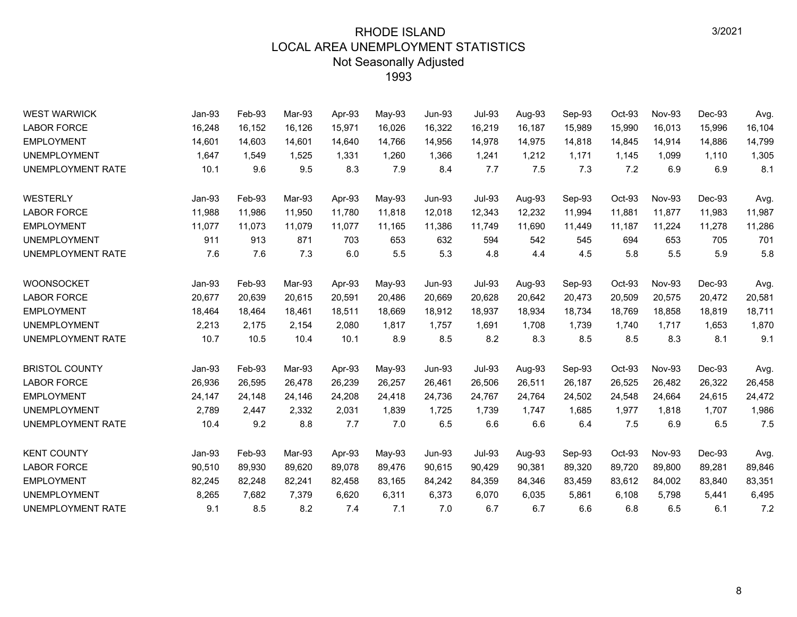| <b>WEST WARWICK</b>      | Jan-93 | Feb-93 | Mar-93 | Apr-93 | May-93 | <b>Jun-93</b> | <b>Jul-93</b> | Aug-93 | Sep-93 | Oct-93 | <b>Nov-93</b> | Dec-93 | Avg.   |
|--------------------------|--------|--------|--------|--------|--------|---------------|---------------|--------|--------|--------|---------------|--------|--------|
| <b>LABOR FORCE</b>       | 16,248 | 16,152 | 16,126 | 15,971 | 16,026 | 16,322        | 16,219        | 16,187 | 15,989 | 15,990 | 16,013        | 15,996 | 16,104 |
| <b>EMPLOYMENT</b>        | 14,601 | 14,603 | 14,601 | 14,640 | 14,766 | 14,956        | 14,978        | 14,975 | 14,818 | 14,845 | 14,914        | 14,886 | 14,799 |
| <b>UNEMPLOYMENT</b>      | 1,647  | 1,549  | 1,525  | 1,331  | 1,260  | 1,366         | 1,241         | 1,212  | 1,171  | 1,145  | 1,099         | 1,110  | 1,305  |
| UNEMPLOYMENT RATE        | 10.1   | 9.6    | 9.5    | 8.3    | 7.9    | 8.4           | 7.7           | 7.5    | 7.3    | 7.2    | 6.9           | 6.9    | 8.1    |
| WESTERLY                 | Jan-93 | Feb-93 | Mar-93 | Apr-93 | May-93 | <b>Jun-93</b> | <b>Jul-93</b> | Aug-93 | Sep-93 | Oct-93 | Nov-93        | Dec-93 | Avg.   |
| <b>LABOR FORCE</b>       | 11,988 | 11,986 | 11,950 | 11.780 | 11,818 | 12,018        | 12,343        | 12,232 | 11,994 | 11,881 | 11,877        | 11,983 | 11,987 |
| <b>EMPLOYMENT</b>        | 11,077 | 11,073 | 11,079 | 11,077 | 11,165 | 11,386        | 11,749        | 11,690 | 11,449 | 11,187 | 11,224        | 11,278 | 11,286 |
| <b>UNEMPLOYMENT</b>      | 911    | 913    | 871    | 703    | 653    | 632           | 594           | 542    | 545    | 694    | 653           | 705    | 701    |
| UNEMPLOYMENT RATE        | 7.6    | 7.6    | 7.3    | 6.0    | 5.5    | 5.3           | 4.8           | 4.4    | 4.5    | 5.8    | 5.5           | 5.9    | 5.8    |
| <b>WOONSOCKET</b>        | Jan-93 | Feb-93 | Mar-93 | Apr-93 | May-93 | <b>Jun-93</b> | <b>Jul-93</b> | Aug-93 | Sep-93 | Oct-93 | <b>Nov-93</b> | Dec-93 | Avg.   |
| <b>LABOR FORCE</b>       | 20,677 | 20,639 | 20,615 | 20,591 | 20,486 | 20,669        | 20,628        | 20,642 | 20,473 | 20,509 | 20,575        | 20,472 | 20,581 |
| <b>EMPLOYMENT</b>        | 18,464 | 18.464 | 18.461 | 18,511 | 18.669 | 18,912        | 18.937        | 18,934 | 18.734 | 18,769 | 18.858        | 18.819 | 18,711 |
| <b>UNEMPLOYMENT</b>      | 2,213  | 2,175  | 2,154  | 2,080  | 1,817  | 1,757         | 1,691         | 1,708  | 1,739  | 1,740  | 1,717         | 1,653  | 1,870  |
| UNEMPLOYMENT RATE        | 10.7   | 10.5   | 10.4   | 10.1   | 8.9    | 8.5           | 8.2           | 8.3    | 8.5    | 8.5    | 8.3           | 8.1    | 9.1    |
| <b>BRISTOL COUNTY</b>    | Jan-93 | Feb-93 | Mar-93 | Apr-93 | May-93 | <b>Jun-93</b> | <b>Jul-93</b> | Aug-93 | Sep-93 | Oct-93 | <b>Nov-93</b> | Dec-93 | Avg.   |
| <b>LABOR FORCE</b>       | 26,936 | 26,595 | 26,478 | 26,239 | 26,257 | 26,461        | 26,506        | 26,511 | 26,187 | 26,525 | 26,482        | 26,322 | 26,458 |
| <b>EMPLOYMENT</b>        | 24,147 | 24,148 | 24,146 | 24,208 | 24,418 | 24,736        | 24,767        | 24,764 | 24,502 | 24,548 | 24,664        | 24,615 | 24,472 |
| <b>UNEMPLOYMENT</b>      | 2,789  | 2,447  | 2,332  | 2,031  | 1,839  | 1,725         | 1,739         | 1,747  | 1,685  | 1,977  | 1,818         | 1,707  | 1,986  |
| <b>UNEMPLOYMENT RATE</b> | 10.4   | 9.2    | 8.8    | 7.7    | 7.0    | 6.5           | 6.6           | 6.6    | 6.4    | 7.5    | 6.9           | 6.5    | 7.5    |
| <b>KENT COUNTY</b>       | Jan-93 | Feb-93 | Mar-93 | Apr-93 | May-93 | <b>Jun-93</b> | <b>Jul-93</b> | Aug-93 | Sep-93 | Oct-93 | Nov-93        | Dec-93 | Avg.   |
| <b>LABOR FORCE</b>       | 90,510 | 89,930 | 89,620 | 89,078 | 89,476 | 90,615        | 90,429        | 90,381 | 89,320 | 89,720 | 89,800        | 89,281 | 89,846 |
| <b>EMPLOYMENT</b>        | 82,245 | 82,248 | 82,241 | 82,458 | 83,165 | 84,242        | 84,359        | 84,346 | 83,459 | 83,612 | 84,002        | 83,840 | 83,351 |
| <b>UNEMPLOYMENT</b>      | 8,265  | 7,682  | 7,379  | 6,620  | 6,311  | 6,373         | 6,070         | 6,035  | 5,861  | 6,108  | 5,798         | 5,441  | 6,495  |
| UNEMPLOYMENT RATE        | 9.1    | 8.5    | 8.2    | 7.4    | 7.1    | 7.0           | 6.7           | 6.7    | 6.6    | 6.8    | 6.5           | 6.1    | 7.2    |